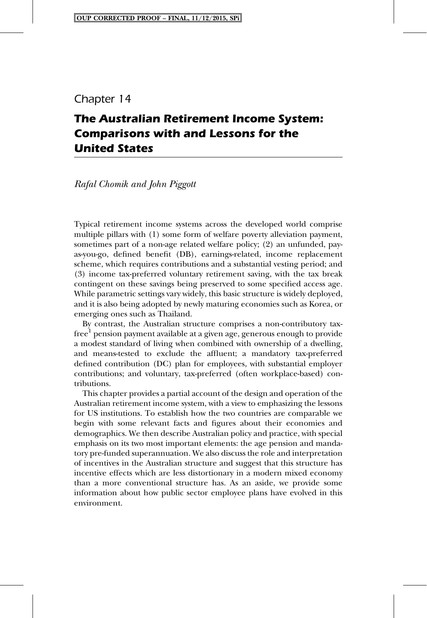# Chapter 14

# **The Australian Retirement Income System: Comparisons with and Lessons for the United States**

# *Rafal Chomik and John Piggott*

Typical retirement income systems across the developed world comprise multiple pillars with (1) some form of welfare poverty alleviation payment, sometimes part of a non-age related welfare policy; (2) an unfunded, payas-you-go, defined benefit (DB), earnings-related, income replacement scheme, which requires contributions and a substantial vesting period; and (3) income tax-preferred voluntary retirement saving, with the tax break contingent on these savings being preserved to some specified access age. While parametric settings vary widely, this basic structure is widely deployed, and it is also being adopted by newly maturing economies such as Korea, or emerging ones such as Thailand.

By contrast, the Australian structure comprises a non-contributory taxfree<sup>1</sup> pension payment available at a given age, generous enough to provide a modest standard of living when combined with ownership of a dwelling, and means-tested to exclude the affluent; a mandatory tax-preferred defined contribution (DC) plan for employees, with substantial employer contributions; and voluntary, tax-preferred (often workplace-based) contributions.

This chapter provides a partial account of the design and operation of the Australian retirement income system, with a view to emphasizing the lessons for US institutions. To establish how the two countries are comparable we begin with some relevant facts and figures about their economies and demographics. We then describe Australian policy and practice, with special emphasis on its two most important elements: the age pension and mandatory pre-funded superannuation. We also discuss the role and interpretation of incentives in the Australian structure and suggest that this structure has incentive effects which are less distortionary in a modern mixed economy than a more conventional structure has. As an aside, we provide some information about how public sector employee plans have evolved in this environment.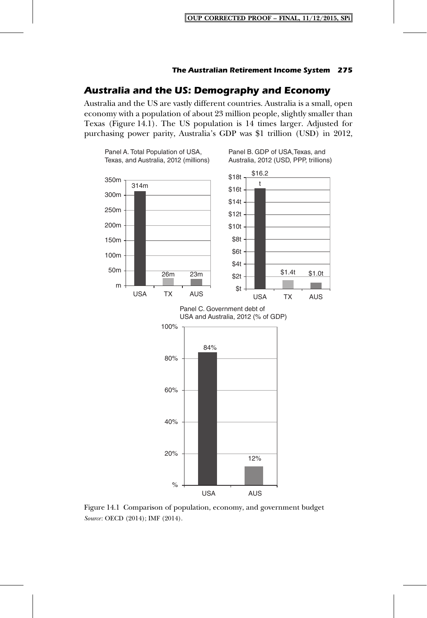# **Australia and the US: Demography and Economy**

Australia and the US are vastly different countries. Australia is a small, open economy with a population of about 23 million people, slightly smaller than Texas (Figure 14.1). The US population is 14 times larger. Adjusted for purchasing power parity, Australia's GDP was \$1 trillion (USD) in 2012,



Figure 14.1 Comparison of population, economy, and government budget *Source*: OECD (2014); IMF (2014).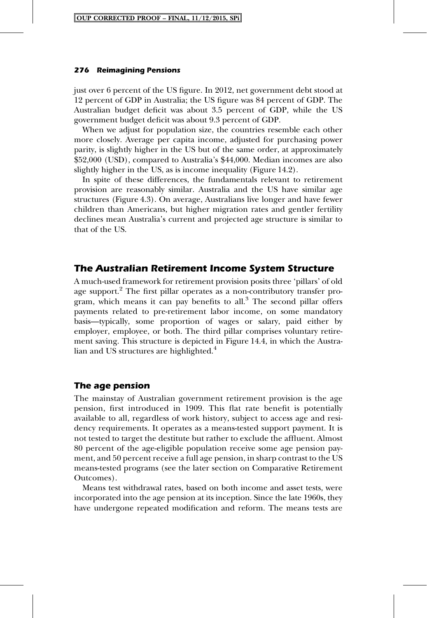just over 6 percent of the US figure. In 2012, net government debt stood at 12 percent of GDP in Australia; the US figure was 84 percent of GDP. The Australian budget deficit was about 3.5 percent of GDP, while the US government budget deficit was about 9.3 percent of GDP.

When we adjust for population size, the countries resemble each other more closely. Average per capita income, adjusted for purchasing power parity, is slightly higher in the US but of the same order, at approximately \$52,000 (USD), compared to Australia's \$44,000. Median incomes are also slightly higher in the US, as is income inequality (Figure 14.2).

In spite of these differences, the fundamentals relevant to retirement provision are reasonably similar. Australia and the US have similar age structures (Figure 4.3). On average, Australians live longer and have fewer children than Americans, but higher migration rates and gentler fertility declines mean Australia's current and projected age structure is similar to that of the US.

# **The Australian Retirement Income System Structure**

A much-used framework for retirement provision posits three 'pillars' of old age support.<sup>2</sup> The first pillar operates as a non-contributory transfer program, which means it can pay benefits to all. $3$  The second pillar offers payments related to pre-retirement labor income, on some mandatory basis—typically, some proportion of wages or salary, paid either by employer, employee, or both. The third pillar comprises voluntary retirement saving. This structure is depicted in Figure 14.4, in which the Australian and US structures are highlighted.<sup>4</sup>

### **The age pension**

The mainstay of Australian government retirement provision is the age pension, first introduced in 1909. This flat rate benefit is potentially available to all, regardless of work history, subject to access age and residency requirements. It operates as a means-tested support payment. It is not tested to target the destitute but rather to exclude the affluent. Almost 80 percent of the age-eligible population receive some age pension payment, and 50 percent receive a full age pension, in sharp contrast to the US means-tested programs (see the later section on Comparative Retirement Outcomes).

Means test withdrawal rates, based on both income and asset tests, were incorporated into the age pension at its inception. Since the late 1960s, they have undergone repeated modification and reform. The means tests are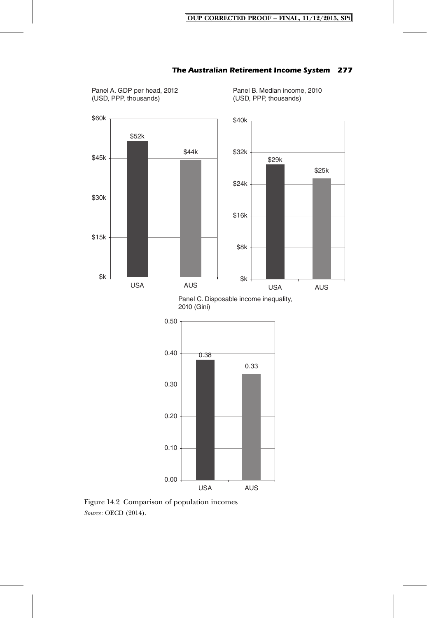

Panel A. GDP per head, 2012 (USD, PPP, thousands)

### **The Australian Retirement Income System 277**

Panel B. Median income, 2010 (USD, PPP, thousands)

Panel C. Disposable income inequality, 2010 (Gini)



Figure 14.2 Comparison of population incomes *Source*: OECD (2014).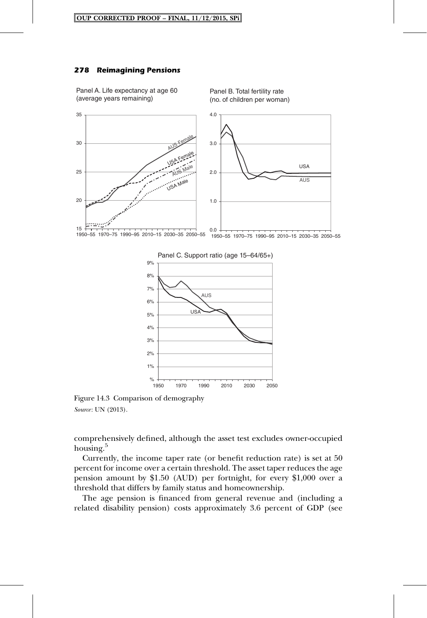### **278 Reimagining Pensions**

Panel A. Life expectancy at age 60 (average years remaining)

Panel B. Total fertility rate (no. of children per woman)



Panel C. Support ratio (age 15–64/65+)



Figure 14.3 Comparison of demography *Source*: UN (2013).

comprehensively defined, although the asset test excludes owner-occupied housing.<sup>5</sup>

Currently, the income taper rate (or benefit reduction rate) is set at 50 percent for income over a certain threshold. The asset taper reduces the age pension amount by \$1.50 (AUD) per fortnight, for every \$1,000 over a threshold that differs by family status and homeownership.

The age pension is financed from general revenue and (including a related disability pension) costs approximately 3.6 percent of GDP (see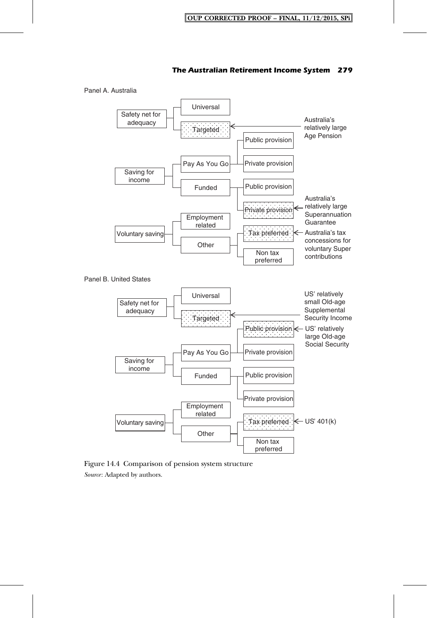

Figure 14.4 Comparison of pension system structure *Source*: Adapted by authors.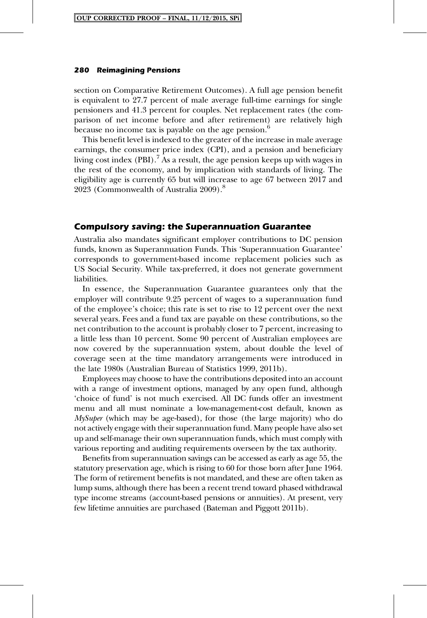section on Comparative Retirement Outcomes). A full age pension benefit is equivalent to 27.7 percent of male average full-time earnings for single pensioners and 41.3 percent for couples. Net replacement rates (the comparison of net income before and after retirement) are relatively high because no income tax is payable on the age pension.<sup>6</sup>

This benefit level is indexed to the greater of the increase in male average earnings, the consumer price index (CPI), and a pension and beneficiary living cost index (PBI).<sup>7</sup> As a result, the age pension keeps up with wages in the rest of the economy, and by implication with standards of living. The eligibility age is currently 65 but will increase to age 67 between 2017 and 2023 (Commonwealth of Australia 2009).<sup>8</sup>

### **Compulsory saving: the Superannuation Guarantee**

Australia also mandates significant employer contributions to DC pension funds, known as Superannuation Funds. This 'Superannuation Guarantee' corresponds to government-based income replacement policies such as US Social Security. While tax-preferred, it does not generate government liabilities.

In essence, the Superannuation Guarantee guarantees only that the employer will contribute 9.25 percent of wages to a superannuation fund of the employee's choice; this rate is set to rise to 12 percent over the next several years. Fees and a fund tax are payable on these contributions, so the net contribution to the account is probably closer to 7 percent, increasing to a little less than 10 percent. Some 90 percent of Australian employees are now covered by the superannuation system, about double the level of coverage seen at the time mandatory arrangements were introduced in the late 1980s (Australian Bureau of Statistics 1999, 2011b).

Employees may choose to have the contributions deposited into an account with a range of investment options, managed by any open fund, although 'choice of fund' is not much exercised. All DC funds offer an investment menu and all must nominate a low-management-cost default, known as *MySuper* (which may be age-based), for those (the large majority) who do not actively engage with their superannuation fund. Many people have also set up and self-manage their own superannuation funds, which must comply with various reporting and auditing requirements overseen by the tax authority.

Benefits from superannuation savings can be accessed as early as age 55, the statutory preservation age, which is rising to 60 for those born after June 1964. The form of retirement benefits is not mandated, and these are often taken as lump sums, although there has been a recent trend toward phased withdrawal type income streams (account-based pensions or annuities). At present, very few lifetime annuities are purchased (Bateman and Piggott 2011b).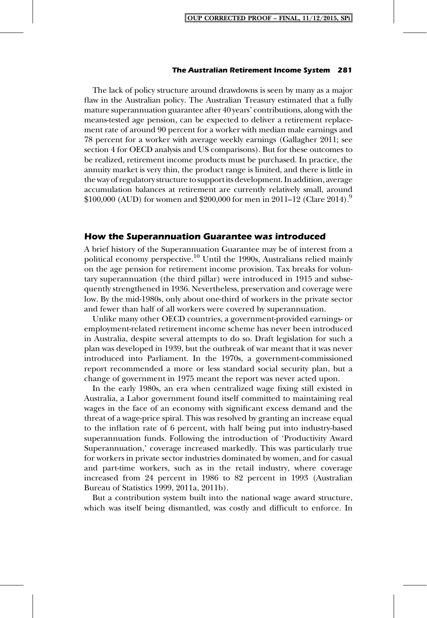#### **The Australian Retirement Income System 281**

The lack of policy structure around drawdowns is seen by many as a major flaw in the Australian policy. The Australian Treasury estimated that a fully mature superannuation guarantee after 40 years' contributions, along with the means-tested age pension, can be expected to deliver a retirement replacement rate of around 90 percent for a worker with median male earnings and 78 percent for a worker with average weekly earnings (Gallagher 2011; see section 4 for OECD analysis and US comparisons). But for these outcomes to be realized, retirement income products must be purchased. In practice, the annuity market is very thin, the product range is limited, and there is little in the way of regulatory structure to support its development. In addition, average accumulation balances at retirement are currently relatively small, around  $$100,000$  (AUD) for women and  $$200,000$  for men in 2011–12 (Clare 2014).<sup>9</sup>

### **How the Superannuation Guarantee was introduced**

A brief history of the Superannuation Guarantee may be of interest from a political economy perspective.<sup>10</sup> Until the 1990s, Australians relied mainly on the age pension for retirement income provision. Tax breaks for voluntary superannuation (the third pillar) were introduced in 1915 and subsequently strengthened in 1936. Nevertheless, preservation and coverage were low. By the mid-1980s, only about one-third of workers in the private sector and fewer than half of all workers were covered by superannuation.

Unlike many other OECD countries, a government-provided earnings- or employment-related retirement income scheme has never been introduced in Australia, despite several attempts to do so. Draft legislation for such a plan was developed in 1939, but the outbreak of war meant that it was never introduced into Parliament. In the 1970s, a government-commissioned report recommended a more or less standard social security plan, but a change of government in 1975 meant the report was never acted upon.

In the early 1980s, an era when centralized wage fixing still existed in Australia, a Labor government found itself committed to maintaining real wages in the face of an economy with significant excess demand and the threat of a wage-price spiral. This was resolved by granting an increase equal to the inflation rate of 6 percent, with half being put into industry-based superannuation funds. Following the introduction of 'Productivity Award Superannuation,' coverage increased markedly. This was particularly true for workers in private sector industries dominated by women, and for casual and part-time workers, such as in the retail industry, where coverage increased from 24 percent in 1986 to 82 percent in 1993 (Australian Bureau of Statistics 1999, 2011a, 2011b).

But a contribution system built into the national wage award structure, which was itself being dismantled, was costly and difficult to enforce. In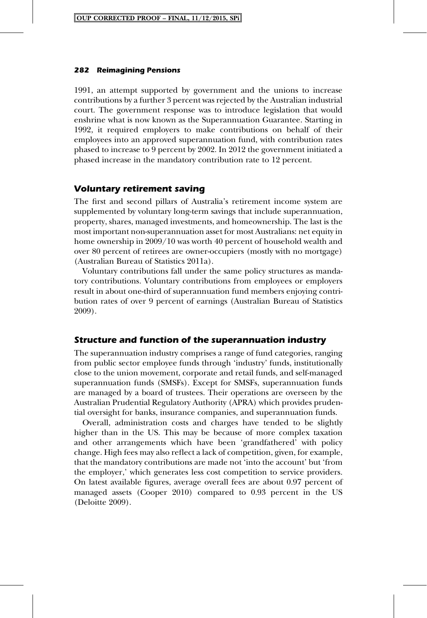1991, an attempt supported by government and the unions to increase contributions by a further 3 percent was rejected by the Australian industrial court. The government response was to introduce legislation that would enshrine what is now known as the Superannuation Guarantee. Starting in 1992, it required employers to make contributions on behalf of their employees into an approved superannuation fund, with contribution rates phased to increase to 9 percent by 2002. In 2012 the government initiated a phased increase in the mandatory contribution rate to 12 percent.

### **Voluntary retirement saving**

The first and second pillars of Australia's retirement income system are supplemented by voluntary long-term savings that include superannuation, property, shares, managed investments, and homeownership. The last is the most important non-superannuation asset for most Australians: net equity in home ownership in 2009/10 was worth 40 percent of household wealth and over 80 percent of retirees are owner-occupiers (mostly with no mortgage) (Australian Bureau of Statistics 2011a).

Voluntary contributions fall under the same policy structures as mandatory contributions. Voluntary contributions from employees or employers result in about one-third of superannuation fund members enjoying contribution rates of over 9 percent of earnings (Australian Bureau of Statistics 2009).

### **Structure and function of the superannuation industry**

The superannuation industry comprises a range of fund categories, ranging from public sector employee funds through 'industry' funds, institutionally close to the union movement, corporate and retail funds, and self-managed superannuation funds (SMSFs). Except for SMSFs, superannuation funds are managed by a board of trustees. Their operations are overseen by the Australian Prudential Regulatory Authority (APRA) which provides prudential oversight for banks, insurance companies, and superannuation funds.

Overall, administration costs and charges have tended to be slightly higher than in the US. This may be because of more complex taxation and other arrangements which have been 'grandfathered' with policy change. High fees may also reflect a lack of competition, given, for example, that the mandatory contributions are made not 'into the account' but 'from the employer,' which generates less cost competition to service providers. On latest available figures, average overall fees are about 0.97 percent of managed assets (Cooper 2010) compared to 0.93 percent in the US (Deloitte 2009).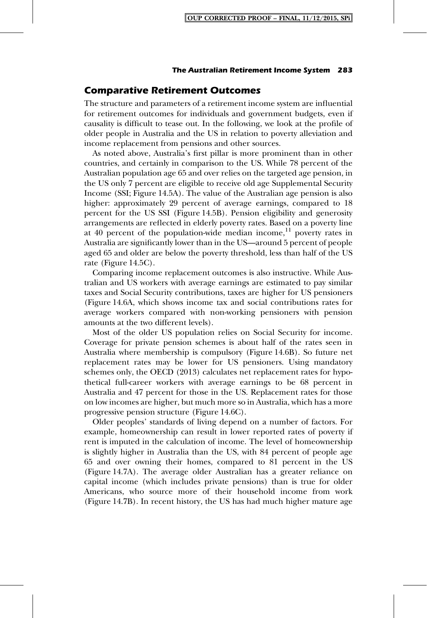### **Comparative Retirement Outcomes**

The structure and parameters of a retirement income system are influential for retirement outcomes for individuals and government budgets, even if causality is difficult to tease out. In the following, we look at the profile of older people in Australia and the US in relation to poverty alleviation and income replacement from pensions and other sources.

As noted above, Australia's first pillar is more prominent than in other countries, and certainly in comparison to the US. While 78 percent of the Australian population age 65 and over relies on the targeted age pension, in the US only 7 percent are eligible to receive old age Supplemental Security Income (SSI; Figure 14.5A). The value of the Australian age pension is also higher: approximately 29 percent of average earnings, compared to 18 percent for the US SSI (Figure 14.5B). Pension eligibility and generosity arrangements are reflected in elderly poverty rates. Based on a poverty line at 40 percent of the population-wide median income, $^{11}$  poverty rates in Australia are significantly lower than in the US—around 5 percent of people aged 65 and older are below the poverty threshold, less than half of the US rate (Figure 14.5C).

Comparing income replacement outcomes is also instructive. While Australian and US workers with average earnings are estimated to pay similar taxes and Social Security contributions, taxes are higher for US pensioners (Figure 14.6A, which shows income tax and social contributions rates for average workers compared with non-working pensioners with pension amounts at the two different levels).

Most of the older US population relies on Social Security for income. Coverage for private pension schemes is about half of the rates seen in Australia where membership is compulsory (Figure 14.6B). So future net replacement rates may be lower for US pensioners. Using mandatory schemes only, the OECD (2013) calculates net replacement rates for hypothetical full-career workers with average earnings to be 68 percent in Australia and 47 percent for those in the US. Replacement rates for those on low incomes are higher, but much more so in Australia, which has a more progressive pension structure (Figure 14.6C).

Older peoples' standards of living depend on a number of factors. For example, homeownership can result in lower reported rates of poverty if rent is imputed in the calculation of income. The level of homeownership is slightly higher in Australia than the US, with 84 percent of people age 65 and over owning their homes, compared to 81 percent in the US (Figure 14.7A). The average older Australian has a greater reliance on capital income (which includes private pensions) than is true for older Americans, who source more of their household income from work (Figure 14.7B). In recent history, the US has had much higher mature age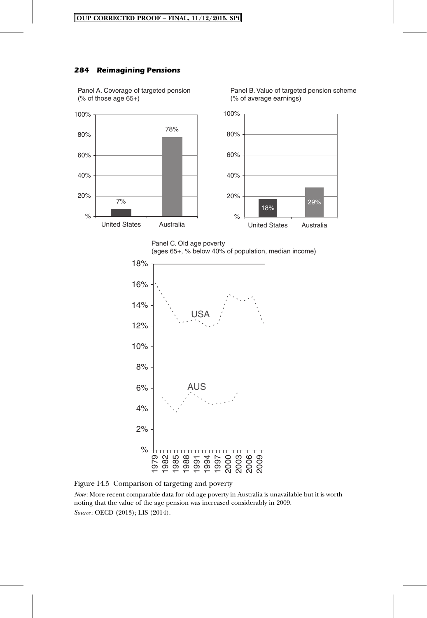### **284 Reimagining Pensions**



Panel B. Value of targeted pension scheme (% of average earnings)







Figure 14.5 Comparison of targeting and poverty

*Note*: More recent comparable data for old age poverty in Australia is unavailable but it is worth noting that the value of the age pension was increased considerably in 2009. *Source*: OECD (2013); LIS (2014).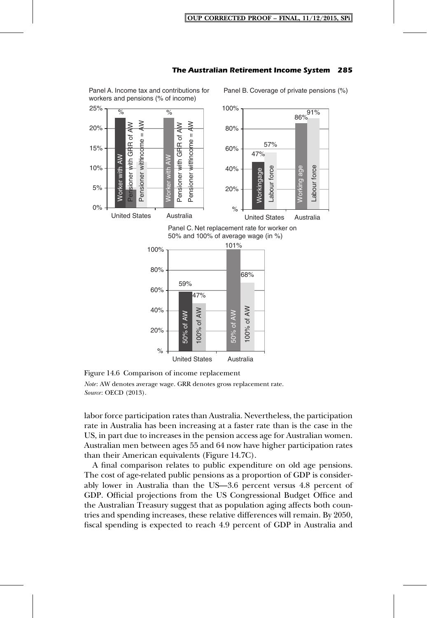

Figure 14.6 Comparison of income replacement

*Note*: AW denotes average wage. GRR denotes gross replacement rate. *Source*: OECD (2013).

labor force participation rates than Australia. Nevertheless, the participation rate in Australia has been increasing at a faster rate than is the case in the US, in part due to increases in the pension access age for Australian women. Australian men between ages 55 and 64 now have higher participation rates than their American equivalents (Figure 14.7C).

A final comparison relates to public expenditure on old age pensions. The cost of age-related public pensions as a proportion of GDP is considerably lower in Australia than the US—3.6 percent versus 4.8 percent of GDP. Official projections from the US Congressional Budget Office and the Australian Treasury suggest that as population aging affects both countries and spending increases, these relative differences will remain. By 2050, fiscal spending is expected to reach 4.9 percent of GDP in Australia and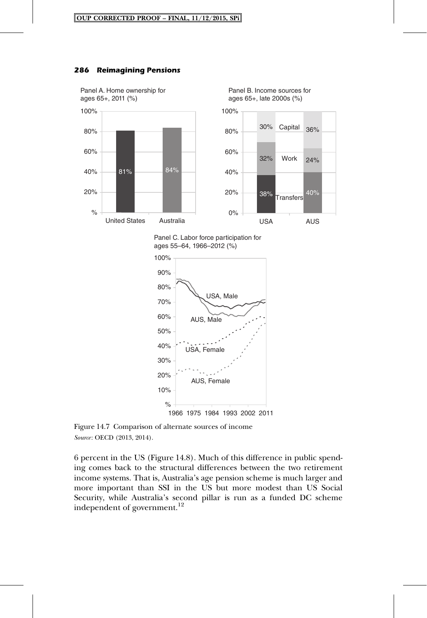### **286 Reimagining Pensions**



Panel C. Labor force participation for ages 55–64, 1966–2012 (%)



Figure 14.7 Comparison of alternate sources of income *Source*: OECD (2013, 2014).

6 percent in the US (Figure 14.8). Much of this difference in public spending comes back to the structural differences between the two retirement income systems. That is, Australia's age pension scheme is much larger and more important than SSI in the US but more modest than US Social Security, while Australia's second pillar is run as a funded DC scheme independent of government.<sup>12</sup>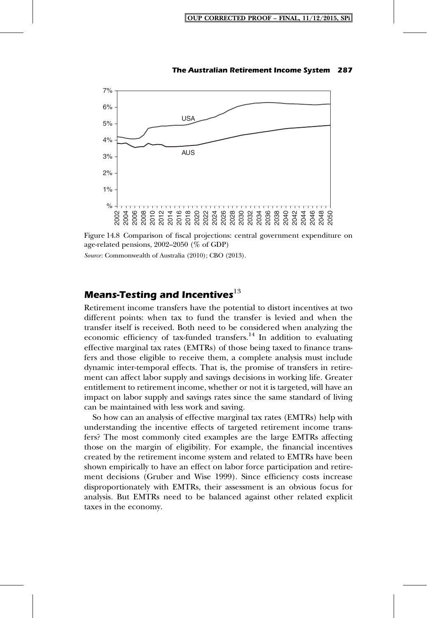



*Source*: Commonwealth of Australia (2010); CBO (2013).

# **Means-Testing and Incentives**<sup>13</sup>

Retirement income transfers have the potential to distort incentives at two different points: when tax to fund the transfer is levied and when the transfer itself is received. Both need to be considered when analyzing the economic efficiency of tax-funded transfers. $14$  In addition to evaluating effective marginal tax rates (EMTRs) of those being taxed to finance transfers and those eligible to receive them, a complete analysis must include dynamic inter-temporal effects. That is, the promise of transfers in retirement can affect labor supply and savings decisions in working life. Greater entitlement to retirement income, whether or not it is targeted, will have an impact on labor supply and savings rates since the same standard of living can be maintained with less work and saving.

So how can an analysis of effective marginal tax rates (EMTRs) help with understanding the incentive effects of targeted retirement income transfers? The most commonly cited examples are the large EMTRs affecting those on the margin of eligibility. For example, the financial incentives created by the retirement income system and related to EMTRs have been shown empirically to have an effect on labor force participation and retirement decisions (Gruber and Wise 1999). Since efficiency costs increase disproportionately with EMTRs, their assessment is an obvious focus for analysis. But EMTRs need to be balanced against other related explicit taxes in the economy.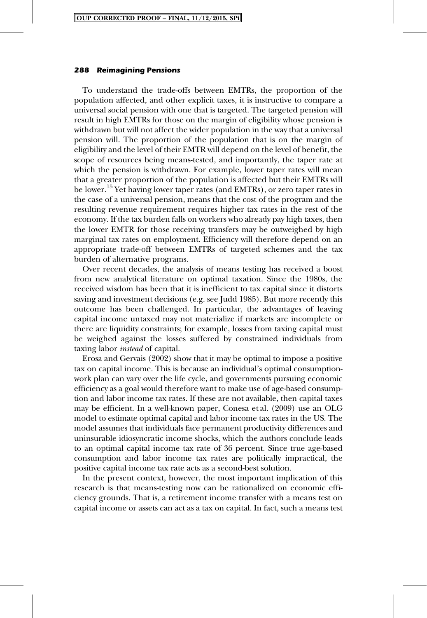To understand the trade-offs between EMTRs, the proportion of the population affected, and other explicit taxes, it is instructive to compare a universal social pension with one that is targeted. The targeted pension will result in high EMTRs for those on the margin of eligibility whose pension is withdrawn but will not affect the wider population in the way that a universal pension will. The proportion of the population that is on the margin of eligibility and the level of their EMTR will depend on the level of benefit, the scope of resources being means-tested, and importantly, the taper rate at which the pension is withdrawn. For example, lower taper rates will mean that a greater proportion of the population is affected but their EMTRs will be lower.<sup>15</sup> Yet having lower taper rates (and EMTRs), or zero taper rates in the case of a universal pension, means that the cost of the program and the resulting revenue requirement requires higher tax rates in the rest of the economy. If the tax burden falls on workers who already pay high taxes, then the lower EMTR for those receiving transfers may be outweighed by high marginal tax rates on employment. Efficiency will therefore depend on an appropriate trade-off between EMTRs of targeted schemes and the tax burden of alternative programs.

Over recent decades, the analysis of means testing has received a boost from new analytical literature on optimal taxation. Since the 1980s, the received wisdom has been that it is inefficient to tax capital since it distorts saving and investment decisions (e.g. see Judd 1985). But more recently this outcome has been challenged. In particular, the advantages of leaving capital income untaxed may not materialize if markets are incomplete or there are liquidity constraints; for example, losses from taxing capital must be weighed against the losses suffered by constrained individuals from taxing labor *instead* of capital.

Erosa and Gervais (2002) show that it may be optimal to impose a positive tax on capital income. This is because an individual's optimal consumptionwork plan can vary over the life cycle, and governments pursuing economic efficiency as a goal would therefore want to make use of age-based consumption and labor income tax rates. If these are not available, then capital taxes may be efficient. In a well-known paper, Conesa et al. (2009) use an OLG model to estimate optimal capital and labor income tax rates in the US. The model assumes that individuals face permanent productivity differences and uninsurable idiosyncratic income shocks, which the authors conclude leads to an optimal capital income tax rate of 36 percent. Since true age-based consumption and labor income tax rates are politically impractical, the positive capital income tax rate acts as a second-best solution.

In the present context, however, the most important implication of this research is that means-testing now can be rationalized on economic efficiency grounds. That is, a retirement income transfer with a means test on capital income or assets can act as a tax on capital. In fact, such a means test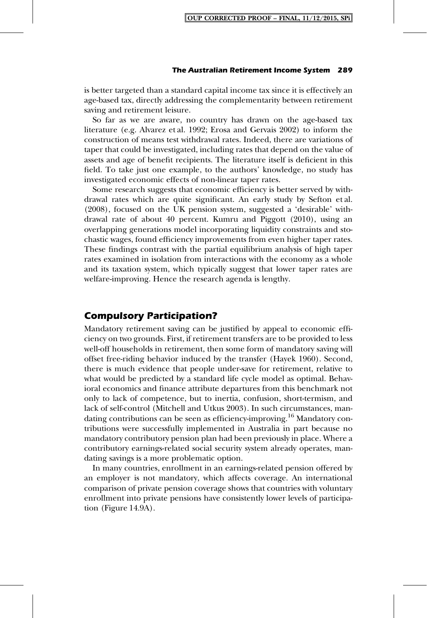#### **The Australian Retirement Income System 289**

is better targeted than a standard capital income tax since it is effectively an age-based tax, directly addressing the complementarity between retirement saving and retirement leisure.

So far as we are aware, no country has drawn on the age-based tax literature (e.g. Alvarez et al. 1992; Erosa and Gervais 2002) to inform the construction of means test withdrawal rates. Indeed, there are variations of taper that could be investigated, including rates that depend on the value of assets and age of benefit recipients. The literature itself is deficient in this field. To take just one example, to the authors' knowledge, no study has investigated economic effects of non-linear taper rates.

Some research suggests that economic efficiency is better served by withdrawal rates which are quite significant. An early study by Sefton et al. (2008), focused on the UK pension system, suggested a 'desirable' withdrawal rate of about 40 percent. Kumru and Piggott (2010), using an overlapping generations model incorporating liquidity constraints and stochastic wages, found efficiency improvements from even higher taper rates. These findings contrast with the partial equilibrium analysis of high taper rates examined in isolation from interactions with the economy as a whole and its taxation system, which typically suggest that lower taper rates are welfare-improving. Hence the research agenda is lengthy.

# **Compulsory Participation?**

Mandatory retirement saving can be justified by appeal to economic efficiency on two grounds. First, if retirement transfers are to be provided to less well-off households in retirement, then some form of mandatory saving will offset free-riding behavior induced by the transfer (Hayek 1960). Second, there is much evidence that people under-save for retirement, relative to what would be predicted by a standard life cycle model as optimal. Behavioral economics and finance attribute departures from this benchmark not only to lack of competence, but to inertia, confusion, short-termism, and lack of self-control (Mitchell and Utkus 2003). In such circumstances, mandating contributions can be seen as efficiency-improving.<sup>16</sup> Mandatory contributions were successfully implemented in Australia in part because no mandatory contributory pension plan had been previously in place. Where a contributory earnings-related social security system already operates, mandating savings is a more problematic option.

In many countries, enrollment in an earnings-related pension offered by an employer is not mandatory, which affects coverage. An international comparison of private pension coverage shows that countries with voluntary enrollment into private pensions have consistently lower levels of participation (Figure 14.9A).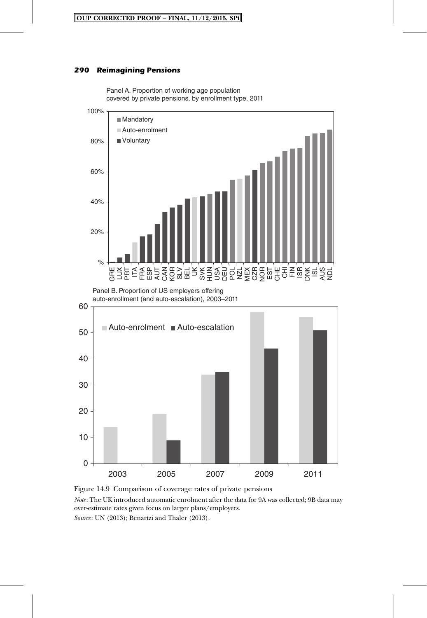Panel A. Proportion of working age population

### **290 Reimagining Pensions**



Figure 14.9 Comparison of coverage rates of private pensions *Note*: The UK introduced automatic enrolment after the data for 9A was collected; 9B data may over-estimate rates given focus on larger plans/employers.

*Source*: UN (2013); Benartzi and Thaler (2013).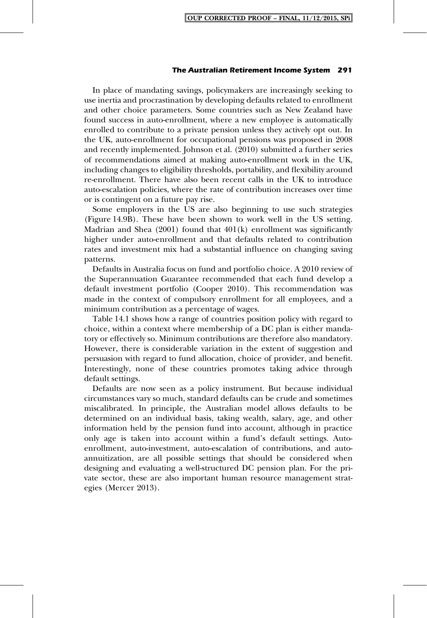#### **The Australian Retirement Income System 291**

In place of mandating savings, policymakers are increasingly seeking to use inertia and procrastination by developing defaults related to enrollment and other choice parameters. Some countries such as New Zealand have found success in auto-enrollment, where a new employee is automatically enrolled to contribute to a private pension unless they actively opt out. In the UK, auto-enrollment for occupational pensions was proposed in 2008 and recently implemented. Johnson et al. (2010) submitted a further series of recommendations aimed at making auto-enrollment work in the UK, including changes to eligibility thresholds, portability, and flexibility around re-enrollment. There have also been recent calls in the UK to introduce auto-escalation policies, where the rate of contribution increases over time or is contingent on a future pay rise.

Some employers in the US are also beginning to use such strategies (Figure 14.9B). These have been shown to work well in the US setting. Madrian and Shea  $(2001)$  found that  $401(k)$  enrollment was significantly higher under auto-enrollment and that defaults related to contribution rates and investment mix had a substantial influence on changing saving patterns.

Defaults in Australia focus on fund and portfolio choice. A 2010 review of the Superannuation Guarantee recommended that each fund develop a default investment portfolio (Cooper 2010). This recommendation was made in the context of compulsory enrollment for all employees, and a minimum contribution as a percentage of wages.

Table 14.1 shows how a range of countries position policy with regard to choice, within a context where membership of a DC plan is either mandatory or effectively so. Minimum contributions are therefore also mandatory. However, there is considerable variation in the extent of suggestion and persuasion with regard to fund allocation, choice of provider, and benefit. Interestingly, none of these countries promotes taking advice through default settings.

Defaults are now seen as a policy instrument. But because individual circumstances vary so much, standard defaults can be crude and sometimes miscalibrated. In principle, the Australian model allows defaults to be determined on an individual basis, taking wealth, salary, age, and other information held by the pension fund into account, although in practice only age is taken into account within a fund's default settings. Autoenrollment, auto-investment, auto-escalation of contributions, and autoannuitization, are all possible settings that should be considered when designing and evaluating a well-structured DC pension plan. For the private sector, these are also important human resource management strategies (Mercer 2013).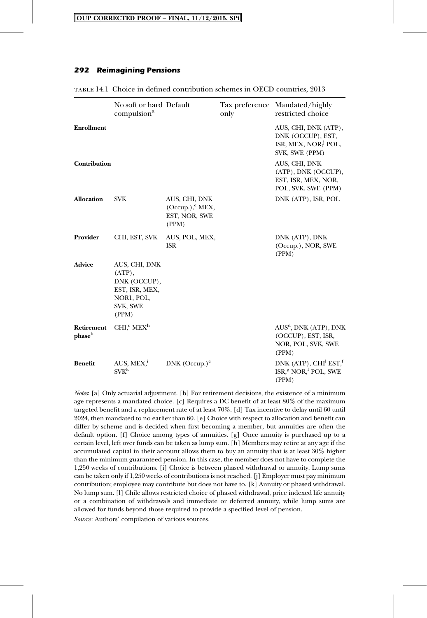|                      | No soft or hard Default<br>compulsion <sup>a</sup>                                              |                                                                 | only | Tax preference Mandated/highly<br>restricted choice                                             |
|----------------------|-------------------------------------------------------------------------------------------------|-----------------------------------------------------------------|------|-------------------------------------------------------------------------------------------------|
| <b>Enrollment</b>    |                                                                                                 |                                                                 |      | AUS, CHI, DNK (ATP),<br>DNK (OCCUP), EST,<br>ISR, MEX, NOR, <sup>J</sup> POL,<br>SVK, SWE (PPM) |
| Contribution         |                                                                                                 |                                                                 |      | AUS, CHI, DNK<br>(ATP), DNK (OCCUP),<br>EST, ISR, MEX, NOR,<br>POL, SVK, SWE (PPM)              |
| <b>Allocation</b>    | <b>SVK</b>                                                                                      | AUS, CHI, DNK<br>$(Occup.)$ , $EXX$ ,<br>EST, NOR, SWE<br>(PPM) |      | DNK (ATP), ISR, POL                                                                             |
| Provider             | CHI, EST, SVK                                                                                   | AUS, POL, MEX,<br><b>ISR</b>                                    |      | DNK (ATP), DNK<br>(Occup.), NOR, SWE<br>(PPM)                                                   |
| <b>Advice</b>        | AUS, CHI, DNK<br>$(ATP)$ ,<br>DNK (OCCUP),<br>EST, ISR, MEX,<br>NOR1, POL,<br>SVK, SWE<br>(PPM) |                                                                 |      |                                                                                                 |
| Retirement<br>phaseb | $CHIcc MEXh$                                                                                    |                                                                 |      | AUS <sup>d</sup> , DNK (ATP), DNK<br>(OCCUP), EST, ISR,<br>NOR, POL, SVK, SWE<br>(PPM)          |
| <b>Benefit</b>       | AUS, MEX, <sup>1</sup><br>$SVK^k$                                                               | DNK $(Occup.)^e$                                                |      | DNK (ATP), $CHI1 EST1f$<br>ISR, <sup>g</sup> NOR, <sup>f</sup> POL, SWE<br>(PPM)                |

table 14.1 Choice in defined contribution schemes in OECD countries, 2013

*Notes*: [a] Only actuarial adjustment. [b] For retirement decisions, the existence of a minimum age represents a mandated choice. [c] Requires a DC benefit of at least 80% of the maximum targeted benefit and a replacement rate of at least 70%. [d] Tax incentive to delay until 60 until 2024, then mandated to no earlier than 60. [e] Choice with respect to allocation and benefit can differ by scheme and is decided when first becoming a member, but annuities are often the default option. [f] Choice among types of annuities. [g] Once annuity is purchased up to a certain level, left over funds can be taken as lump sum. [h] Members may retire at any age if the accumulated capital in their account allows them to buy an annuity that is at least 30% higher than the minimum guaranteed pension. In this case, the member does not have to complete the 1,250 weeks of contributions. [i] Choice is between phased withdrawal or annuity. Lump sums can be taken only if 1,250 weeks of contributions is not reached. [j] Employer must pay minimum contribution; employee may contribute but does not have to. [k] Annuity or phased withdrawal. No lump sum. [l] Chile allows restricted choice of phased withdrawal, price indexed life annuity or a combination of withdrawals and immediate or deferred annuity, while lump sums are allowed for funds beyond those required to provide a specified level of pension. *Source*: Authors' compilation of various sources.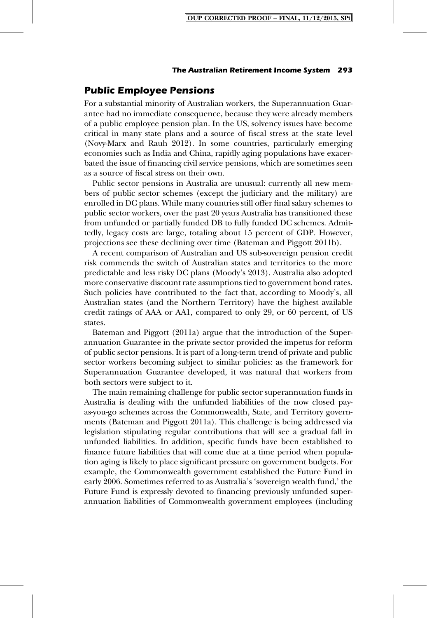# **Public Employee Pensions**

For a substantial minority of Australian workers, the Superannuation Guarantee had no immediate consequence, because they were already members of a public employee pension plan. In the US, solvency issues have become critical in many state plans and a source of fiscal stress at the state level (Novy-Marx and Rauh 2012). In some countries, particularly emerging economies such as India and China, rapidly aging populations have exacerbated the issue of financing civil service pensions, which are sometimes seen as a source of fiscal stress on their own.

Public sector pensions in Australia are unusual: currently all new members of public sector schemes (except the judiciary and the military) are enrolled in DC plans. While many countries still offer final salary schemes to public sector workers, over the past 20 years Australia has transitioned these from unfunded or partially funded DB to fully funded DC schemes. Admittedly, legacy costs are large, totaling about 15 percent of GDP. However, projections see these declining over time (Bateman and Piggott 2011b).

A recent comparison of Australian and US sub-sovereign pension credit risk commends the switch of Australian states and territories to the more predictable and less risky DC plans (Moody's 2013). Australia also adopted more conservative discount rate assumptions tied to government bond rates. Such policies have contributed to the fact that, according to Moody's, all Australian states (and the Northern Territory) have the highest available credit ratings of AAA or AA1, compared to only 29, or 60 percent, of US states.

Bateman and Piggott (2011a) argue that the introduction of the Superannuation Guarantee in the private sector provided the impetus for reform of public sector pensions. It is part of a long-term trend of private and public sector workers becoming subject to similar policies: as the framework for Superannuation Guarantee developed, it was natural that workers from both sectors were subject to it.

The main remaining challenge for public sector superannuation funds in Australia is dealing with the unfunded liabilities of the now closed payas-you-go schemes across the Commonwealth, State, and Territory governments (Bateman and Piggott 2011a). This challenge is being addressed via legislation stipulating regular contributions that will see a gradual fall in unfunded liabilities. In addition, specific funds have been established to finance future liabilities that will come due at a time period when population aging is likely to place significant pressure on government budgets. For example, the Commonwealth government established the Future Fund in early 2006. Sometimes referred to as Australia's 'sovereign wealth fund,' the Future Fund is expressly devoted to financing previously unfunded superannuation liabilities of Commonwealth government employees (including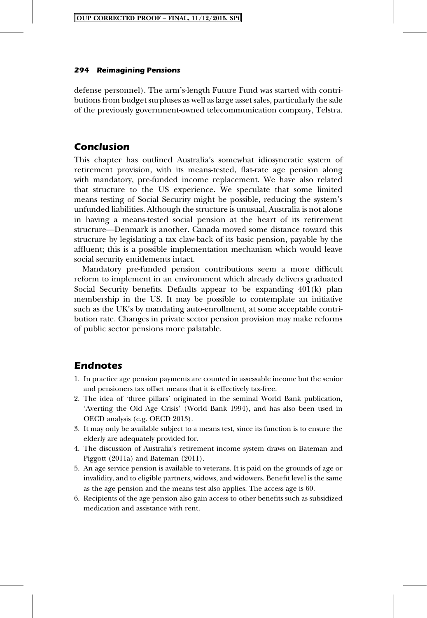defense personnel). The arm's-length Future Fund was started with contributions from budget surpluses as well as large asset sales, particularly the sale of the previously government-owned telecommunication company, Telstra.

# **Conclusion**

This chapter has outlined Australia's somewhat idiosyncratic system of retirement provision, with its means-tested, flat-rate age pension along with mandatory, pre-funded income replacement. We have also related that structure to the US experience. We speculate that some limited means testing of Social Security might be possible, reducing the system's unfunded liabilities. Although the structure is unusual, Australia is not alone in having a means-tested social pension at the heart of its retirement structure—Denmark is another. Canada moved some distance toward this structure by legislating a tax claw-back of its basic pension, payable by the affluent; this is a possible implementation mechanism which would leave social security entitlements intact.

Mandatory pre-funded pension contributions seem a more difficult reform to implement in an environment which already delivers graduated Social Security benefits. Defaults appear to be expanding 401(k) plan membership in the US. It may be possible to contemplate an initiative such as the UK's by mandating auto-enrollment, at some acceptable contribution rate. Changes in private sector pension provision may make reforms of public sector pensions more palatable.

# **Endnotes**

- 1. In practice age pension payments are counted in assessable income but the senior and pensioners tax offset means that it is effectively tax-free.
- 2. The idea of 'three pillars' originated in the seminal World Bank publication, 'Averting the Old Age Crisis' (World Bank 1994), and has also been used in OECD analysis (e.g. OECD 2013).
- 3. It may only be available subject to a means test, since its function is to ensure the elderly are adequately provided for.
- 4. The discussion of Australia's retirement income system draws on Bateman and Piggott (2011a) and Bateman (2011).
- 5. An age service pension is available to veterans. It is paid on the grounds of age or invalidity, and to eligible partners, widows, and widowers. Benefit level is the same as the age pension and the means test also applies. The access age is 60.
- 6. Recipients of the age pension also gain access to other benefits such as subsidized medication and assistance with rent.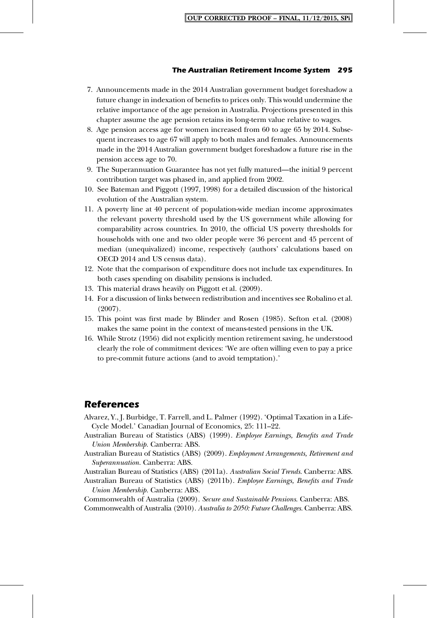- 7. Announcements made in the 2014 Australian government budget foreshadow a future change in indexation of benefits to prices only. This would undermine the relative importance of the age pension in Australia. Projections presented in this chapter assume the age pension retains its long-term value relative to wages.
- 8. Age pension access age for women increased from 60 to age 65 by 2014. Subsequent increases to age 67 will apply to both males and females. Announcements made in the 2014 Australian government budget foreshadow a future rise in the pension access age to 70.
- 9. The Superannuation Guarantee has not yet fully matured—the initial 9 percent contribution target was phased in, and applied from 2002.
- 10. See Bateman and Piggott (1997, 1998) for a detailed discussion of the historical evolution of the Australian system.
- 11. A poverty line at 40 percent of population-wide median income approximates the relevant poverty threshold used by the US government while allowing for comparability across countries. In 2010, the official US poverty thresholds for households with one and two older people were 36 percent and 45 percent of median (unequivalized) income, respectively (authors' calculations based on OECD 2014 and US census data).
- 12. Note that the comparison of expenditure does not include tax expenditures. In both cases spending on disability pensions is included.
- 13. This material draws heavily on Piggott et al. (2009).
- 14. For a discussion of links between redistribution and incentives see Robalino et al. (2007).
- 15. This point was first made by Blinder and Rosen (1985). Sefton et al. (2008) makes the same point in the context of means-tested pensions in the UK.
- 16. While Strotz (1956) did not explicitly mention retirement saving, he understood clearly the role of commitment devices: 'We are often willing even to pay a price to pre-commit future actions (and to avoid temptation).'

# **References**

- Alvarez, Y., J. Burbidge, T. Farrell, and L. Palmer (1992). 'Optimal Taxation in a Life-Cycle Model.' Canadian Journal of Economics, 25: 111–22.
- Australian Bureau of Statistics (ABS) (1999). *Employee Earnings, Benefits and Trade Union Membership.* Canberra: ABS.

Australian Bureau of Statistics (ABS) (2009). *Employment Arrangements, Retirement and Superannuation.* Canberra: ABS.

Australian Bureau of Statistics (ABS) (2011a). *Australian Social Trends.* Canberra: ABS. Australian Bureau of Statistics (ABS) (2011b). *Employee Earnings, Benefits and Trade*

*Union Membership.* Canberra: ABS.

Commonwealth of Australia (2009). *Secure and Sustainable Pensions*. Canberra: ABS. Commonwealth of Australia (2010). *Australia to 2050: Future Challenges.* Canberra: ABS.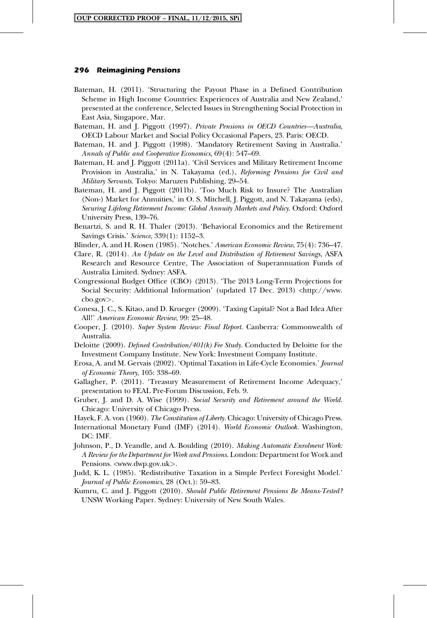- Bateman, H. (2011). 'Structuring the Payout Phase in a Defined Contribution Scheme in High Income Countries: Experiences of Australia and New Zealand,' presented at the conference, Selected Issues in Strengthening Social Protection in East Asia, Singapore, Mar.
- Bateman, H. and J. Piggott (1997). *Private Pensions in OECD Countries—Australia*, OECD Labour Market and Social Policy Occasional Papers, 23. Paris: OECD.
- Bateman, H. and J. Piggott (1998). 'Mandatory Retirement Saving in Australia.' *Annals of Public and Cooperative Economics*, 69(4): 547–69.
- Bateman, H. and J. Piggott (2011a). 'Civil Services and Military Retirement Income Provision in Australia,' in N. Takayama (ed.), *Reforming Pensions for Civil and Military Servants*. Tokyo: Maruzen Publishing, 29–54.
- Bateman, H. and J. Piggott (2011b). 'Too Much Risk to Insure? The Australian (Non-) Market for Annuities,' in O. S. Mitchell, J. Piggott, and N. Takayama (eds), *Securing Lifelong Retirement Income: Global Annuity Markets and Policy*. Oxford: Oxford University Press, 139–76.
- Benartzi, S. and R. H. Thaler (2013). 'Behavioral Economics and the Retirement Savings Crisis.' *Science*, 339(1): 1152–3.
- Blinder, A. and H. Rosen (1985). 'Notches.' *American Economic Review*, 75(4): 736–47.
- Clare, R. (2014). *An Update on the Level and Distribution of Retirement Savings*, ASFA Research and Resource Centre*,* The Association of Superannuation Funds of Australia Limited. Sydney: ASFA.
- Congressional Budget Office (CBO) (2013). 'The 2013 Long-Term Projections for Social Security: Additional Information' (updated 17 Dec. 2013) <http://www. cbo.gov*>*.
- Conesa, J. C., S. Kitao, and D. Krueger (2009). 'Taxing Capital? Not a Bad Idea After All!' *American Economic Review*, 99: 25–48.
- Cooper, J. (2010). *Super System Review: Final Report.* Canberra: Commonwealth of Australia.
- Deloitte (2009). *Defined Contribution/401(k) Fee Study.* Conducted by Deloitte for the Investment Company Institute. New York: Investment Company Institute.
- Erosa, A. and M. Gervais (2002). 'Optimal Taxation in Life-Cycle Economies.' *Journal of Economic Theory*, 105: 338–69.
- Gallagher, P. (2011). 'Treasury Measurement of Retirement Income Adequacy,' presentation to FEAL Pre-Forum Discussion, Feb. 9.
- Gruber, J. and D. A. Wise (1999). *Social Security and Retirement around the World.* Chicago: University of Chicago Press.
- Hayek, F. A. von (1960). *The Constitution of Liberty.* Chicago: University of Chicago Press.
- International Monetary Fund (IMF) (2014). *World Economic Outlook.* Washington, DC: IMF.
- Johnson, P., D. Yeandle, and A. Boulding (2010). *Making Automatic Enrolment Work: A Review for the Department for Work and Pensions*. London: Department for Work and Pensions. <www.dwp.gov.uk*>*.
- Judd, K. L. (1985). 'Redistributive Taxation in a Simple Perfect Foresight Model.' *Journal of Public Economics*, 28 (Oct.): 59–83.
- Kumru, C. and J. Piggott (2010). *Should Public Retirement Pensions Be Means-Tested?* UNSW Working Paper. Sydney: University of New South Wales.